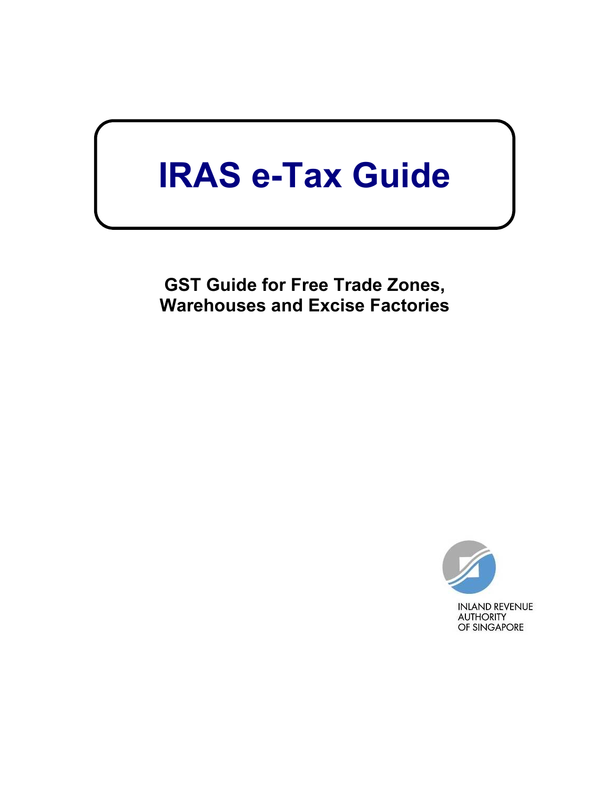# **IRAS e-Tax Guide**

**GST Guide for Free Trade Zones, Warehouses and Excise Factories** 

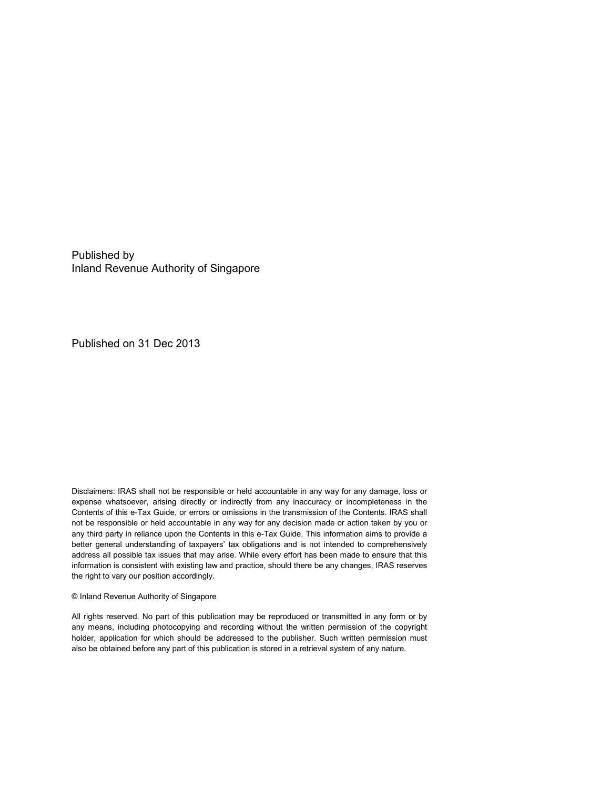Published by Inland Revenue Authority of Singapore

Published on 31 Dec 2013

Disclaimers: IRAS shall not be responsible or held accountable in any way for any damage, loss or expense whatsoever, arising directly or indirectly from any inaccuracy or incompleteness in the Contents of this e-Tax Guide, or errors or omissions in the transmission of the Contents. IRAS shall not be responsible or held accountable in any way for any decision made or action taken by you or any third party in reliance upon the Contents in this e-Tax Guide. This information aims to provide a better general understanding of taxpayers' tax obligations and is not intended to comprehensively address all possible tax issues that may arise. While every effort has been made to ensure that this information is consistent with existing law and practice, should there be any changes, IRAS reserves the right to vary our position accordingly.

#### © Inland Revenue Authority of Singapore

All rights reserved. No part of this publication may be reproduced or transmitted in any form or by any means, including photocopying and recording without the written permission of the copyright holder, application for which should be addressed to the publisher. Such written permission must also be obtained before any part of this publication is stored in a retrieval system of any nature.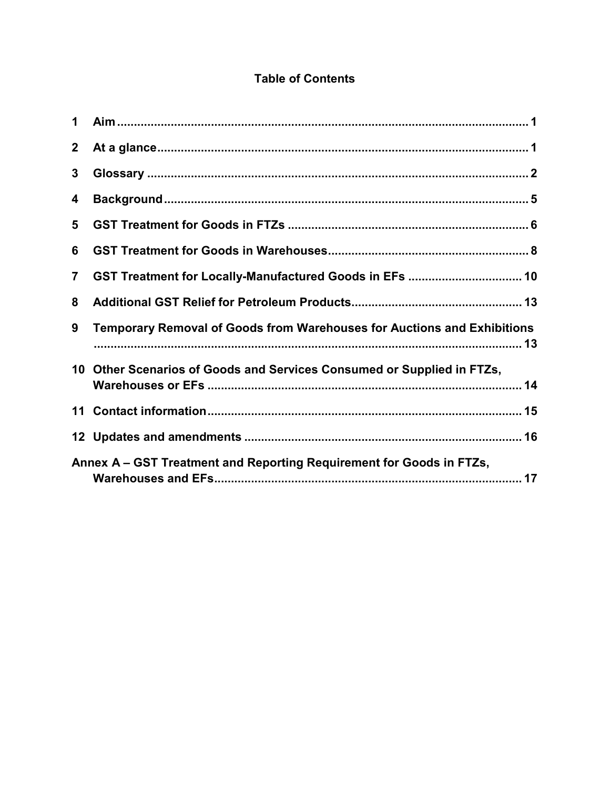## **Table of Contents**

| $\mathbf 1$                                                          |                                                                         |  |  |
|----------------------------------------------------------------------|-------------------------------------------------------------------------|--|--|
| $\mathbf{2}$                                                         |                                                                         |  |  |
| 3                                                                    |                                                                         |  |  |
| 4                                                                    |                                                                         |  |  |
| 5                                                                    |                                                                         |  |  |
| 6                                                                    |                                                                         |  |  |
| $\overline{7}$                                                       |                                                                         |  |  |
| 8                                                                    |                                                                         |  |  |
| 9                                                                    | Temporary Removal of Goods from Warehouses for Auctions and Exhibitions |  |  |
| 10                                                                   | Other Scenarios of Goods and Services Consumed or Supplied in FTZs,     |  |  |
|                                                                      |                                                                         |  |  |
|                                                                      |                                                                         |  |  |
| Annex A - GST Treatment and Reporting Requirement for Goods in FTZs, |                                                                         |  |  |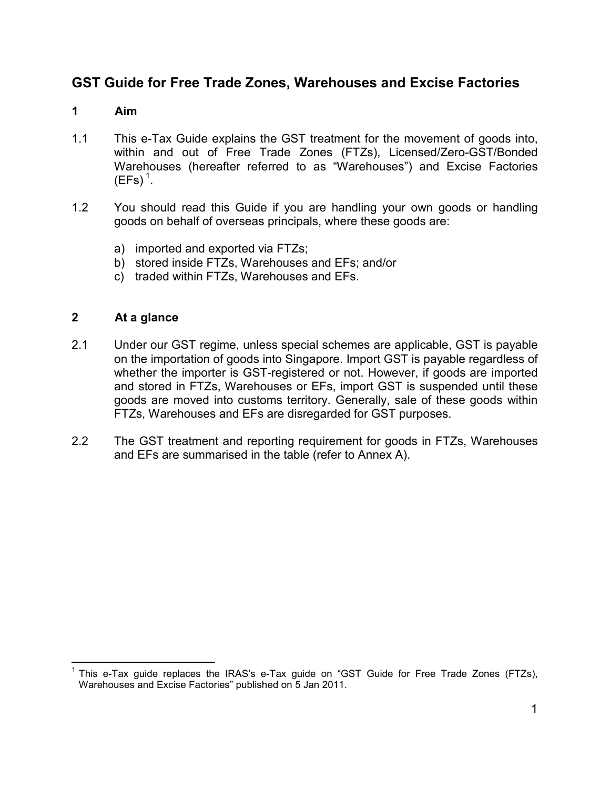## **GST Guide for Free Trade Zones, Warehouses and Excise Factories**

#### **1 Aim**

- 1.1 This e-Tax Guide explains the GST treatment for the movement of goods into, within and out of Free Trade Zones (FTZs), Licensed/Zero-GST/Bonded Warehouses (hereafter referred to as "Warehouses") and Excise Factories  $(EFs)<sup>1</sup>$ .
- 1.2 You should read this Guide if you are handling your own goods or handling goods on behalf of overseas principals, where these goods are:
	- a) imported and exported via FTZs;
	- b) stored inside FTZs, Warehouses and EFs; and/or
	- c) traded within FTZs, Warehouses and EFs.

#### **2 At a glance**

- 2.1 Under our GST regime, unless special schemes are applicable, GST is payable on the importation of goods into Singapore. Import GST is payable regardless of whether the importer is GST-registered or not. However, if goods are imported and stored in FTZs, Warehouses or EFs, import GST is suspended until these goods are moved into customs territory. Generally, sale of these goods within FTZs, Warehouses and EFs are disregarded for GST purposes.
- 2.2 The GST treatment and reporting requirement for goods in FTZs, Warehouses and EFs are summarised in the table (refer to Annex A).

<sup>1</sup> This e-Tax guide replaces the IRAS's e-Tax guide on "GST Guide for Free Trade Zones (FTZs), Warehouses and Excise Factories" published on 5 Jan 2011.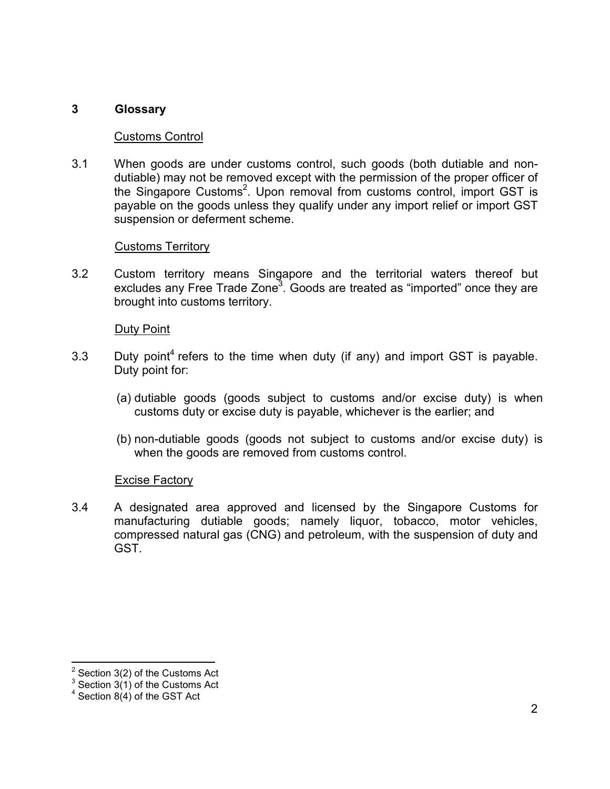#### **3 Glossary**

#### Customs Control

3.1 When goods are under customs control, such goods (both dutiable and nondutiable) may not be removed except with the permission of the proper officer of the Singapore Customs<sup>2</sup>. Upon removal from customs control, import GST is payable on the goods unless they qualify under any import relief or import GST suspension or deferment scheme.

#### Customs Territory

3.2 Custom territory means Singapore and the territorial waters thereof but excludes any Free Trade Zone<sup>3</sup>. Goods are treated as "imported" once they are brought into customs territory.

#### Duty Point

- 3.3 Duty point<sup>4</sup> refers to the time when duty (if any) and import GST is payable. Duty point for:
	- (a) dutiable goods (goods subject to customs and/or excise duty) is when customs duty or excise duty is payable, whichever is the earlier; and
	- (b) non-dutiable goods (goods not subject to customs and/or excise duty) is when the goods are removed from customs control.

#### Excise Factory

3.4 A designated area approved and licensed by the Singapore Customs for manufacturing dutiable goods; namely liquor, tobacco, motor vehicles, compressed natural gas (CNG) and petroleum, with the suspension of duty and GST.

<sup>2</sup> Section 3(2) of the Customs Act

 $3$  Section 3(1) of the Customs Act

 $4$  Section 8(4) of the GST Act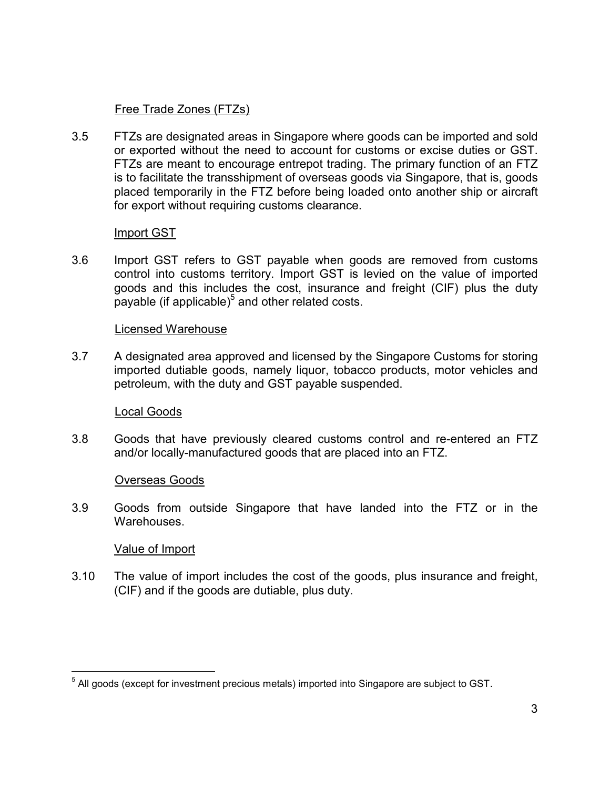#### Free Trade Zones (FTZs)

3.5 FTZs are designated areas in Singapore where goods can be imported and sold or exported without the need to account for customs or excise duties or GST. FTZs are meant to encourage entrepot trading. The primary function of an FTZ is to facilitate the transshipment of overseas goods via Singapore, that is, goods placed temporarily in the FTZ before being loaded onto another ship or aircraft for export without requiring customs clearance.

#### Import GST

3.6 Import GST refers to GST payable when goods are removed from customs control into customs territory. Import GST is levied on the value of imported goods and this includes the cost, insurance and freight (CIF) plus the duty payable (if applicable) $5$  and other related costs.

#### Licensed Warehouse

3.7 A designated area approved and licensed by the Singapore Customs for storing imported dutiable goods, namely liquor, tobacco products, motor vehicles and petroleum, with the duty and GST payable suspended.

#### Local Goods

3.8 Goods that have previously cleared customs control and re-entered an FTZ and/or locally-manufactured goods that are placed into an FTZ.

#### Overseas Goods

3.9 Goods from outside Singapore that have landed into the FTZ or in the Warehouses.

#### Value of Import

 $\overline{a}$ 

3.10 The value of import includes the cost of the goods, plus insurance and freight, (CIF) and if the goods are dutiable, plus duty.

<sup>&</sup>lt;sup>5</sup> All goods (except for investment precious metals) imported into Singapore are subject to GST.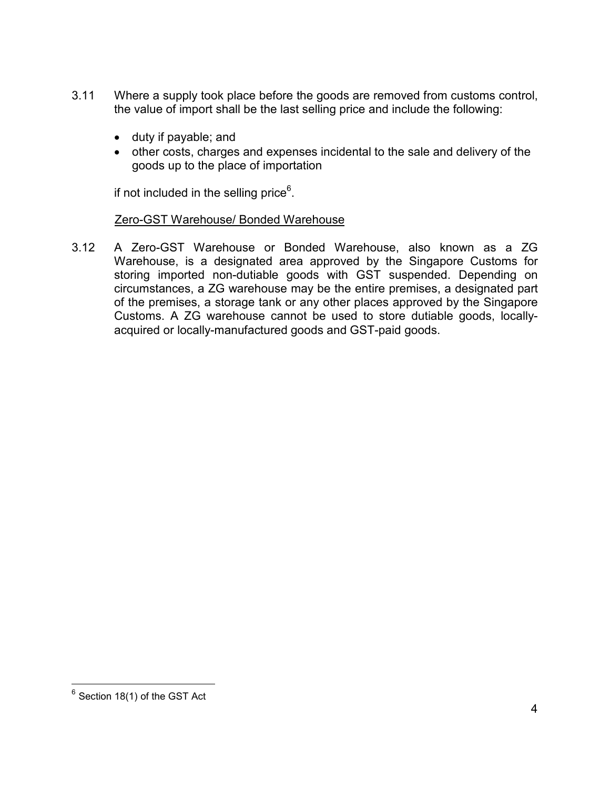- 3.11 Where a supply took place before the goods are removed from customs control, the value of import shall be the last selling price and include the following:
	- duty if payable; and
	- other costs, charges and expenses incidental to the sale and delivery of the goods up to the place of importation

if not included in the selling price $^6$ .

#### Zero-GST Warehouse/ Bonded Warehouse

3.12 A Zero-GST Warehouse or Bonded Warehouse, also known as a ZG Warehouse, is a designated area approved by the Singapore Customs for storing imported non-dutiable goods with GST suspended. Depending on circumstances, a ZG warehouse may be the entire premises, a designated part of the premises, a storage tank or any other places approved by the Singapore Customs. A ZG warehouse cannot be used to store dutiable goods, locallyacquired or locally-manufactured goods and GST-paid goods.

 $^6$  Section 18(1) of the GST Act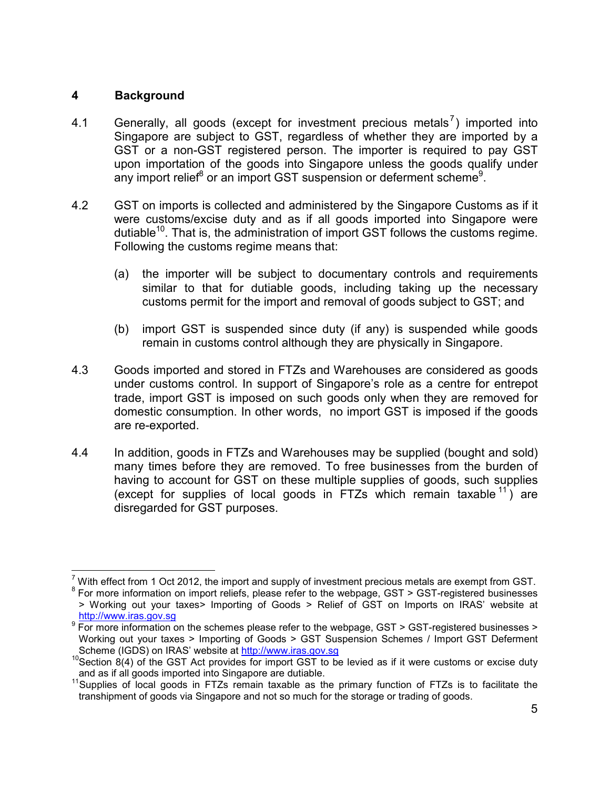#### **4 Background**

- 4.1 Generally, all goods (except for investment precious metals<sup>7</sup>) imported into Singapore are subject to GST, regardless of whether they are imported by a GST or a non-GST registered person. The importer is required to pay GST upon importation of the goods into Singapore unless the goods qualify under any import relief<sup>8</sup> or an import GST suspension or deferment scheme<sup>9</sup>.
- 4.2 GST on imports is collected and administered by the Singapore Customs as if it were customs/excise duty and as if all goods imported into Singapore were dutiable<sup>10</sup>. That is, the administration of import GST follows the customs regime. Following the customs regime means that:
	- (a) the importer will be subject to documentary controls and requirements similar to that for dutiable goods, including taking up the necessary customs permit for the import and removal of goods subject to GST; and
	- (b) import GST is suspended since duty (if any) is suspended while goods remain in customs control although they are physically in Singapore.
- 4.3 Goods imported and stored in FTZs and Warehouses are considered as goods under customs control. In support of Singapore's role as a centre for entrepot trade, import GST is imposed on such goods only when they are removed for domestic consumption. In other words, no import GST is imposed if the goods are re-exported.
- 4.4 In addition, goods in FTZs and Warehouses may be supplied (bought and sold) many times before they are removed. To free businesses from the burden of having to account for GST on these multiple supplies of goods, such supplies (except for supplies of local goods in FTZs which remain taxable  $11$ ) are disregarded for GST purposes.

 $<sup>7</sup>$  With effect from 1 Oct 2012, the import and supply of investment precious metals are exempt from GST.</sup>

<sup>&</sup>lt;sup>8</sup> For more information on import reliefs, please refer to the webpage, GST > GST-registered businesses > Working out your taxes> Importing of Goods > Relief of GST on Imports on IRAS' website at http://www.iras.gov.sg

<sup>&</sup>lt;sup>9</sup> For more information on the schemes please refer to the webpage, GST > GST-registered businesses > Working out your taxes > Importing of Goods > GST Suspension Schemes / Import GST Deferment Scheme (IGDS) on IRAS' website at http://www.iras.gov.sg

 $10$ Section 8(4) of the GST Act provides for import GST to be levied as if it were customs or excise duty and as if all goods imported into Singapore are dutiable.

<sup>&</sup>lt;sup>11</sup> Supplies of local goods in FTZs remain taxable as the primary function of FTZs is to facilitate the transhipment of goods via Singapore and not so much for the storage or trading of goods.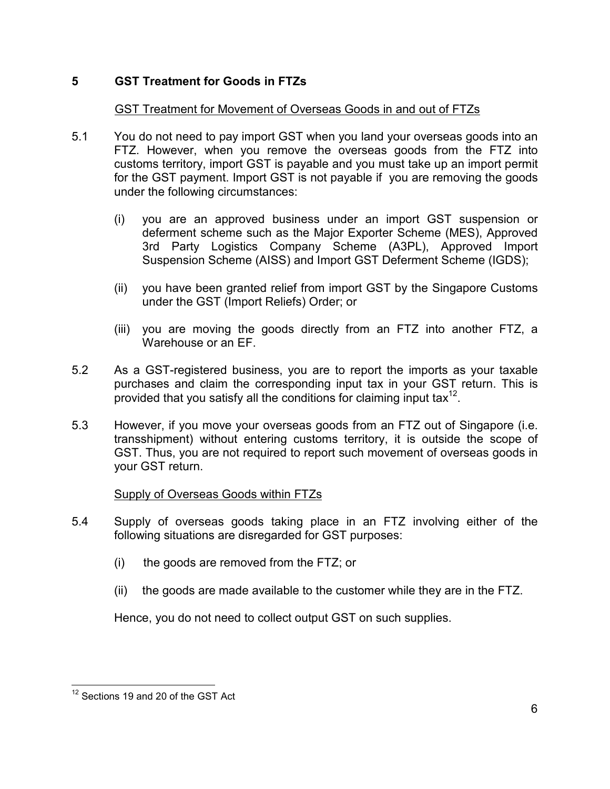## **5 GST Treatment for Goods in FTZs**

#### GST Treatment for Movement of Overseas Goods in and out of FTZs

- 5.1 You do not need to pay import GST when you land your overseas goods into an FTZ. However, when you remove the overseas goods from the FTZ into customs territory, import GST is payable and you must take up an import permit for the GST payment. Import GST is not payable if you are removing the goods under the following circumstances:
	- (i) you are an approved business under an import GST suspension or deferment scheme such as the Major Exporter Scheme (MES), Approved 3rd Party Logistics Company Scheme (A3PL), Approved Import Suspension Scheme (AISS) and Import GST Deferment Scheme (IGDS);
	- (ii) you have been granted relief from import GST by the Singapore Customs under the GST (Import Reliefs) Order; or
	- (iii) you are moving the goods directly from an FTZ into another FTZ, a Warehouse or an EF.
- 5.2 As a GST-registered business, you are to report the imports as your taxable purchases and claim the corresponding input tax in your GST return. This is provided that you satisfy all the conditions for claiming input tax $^{12}$ .
- 5.3 However, if you move your overseas goods from an FTZ out of Singapore (i.e. transshipment) without entering customs territory, it is outside the scope of GST. Thus, you are not required to report such movement of overseas goods in your GST return.

#### Supply of Overseas Goods within FTZs

- 5.4 Supply of overseas goods taking place in an FTZ involving either of the following situations are disregarded for GST purposes:
	- (i) the goods are removed from the FTZ; or
	- (ii) the goods are made available to the customer while they are in the FTZ.

Hence, you do not need to collect output GST on such supplies.

<sup>&</sup>lt;sup>12</sup> Sections 19 and 20 of the GST Act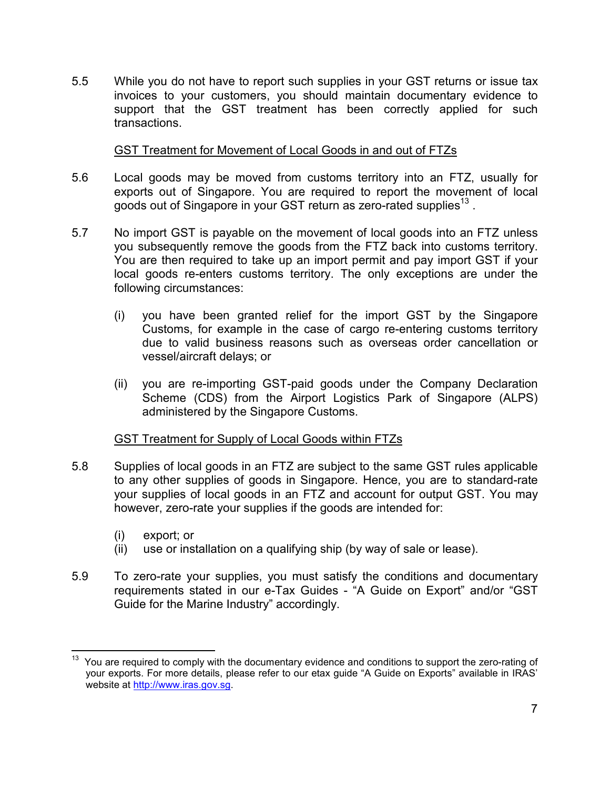5.5 While you do not have to report such supplies in your GST returns or issue tax invoices to your customers, you should maintain documentary evidence to support that the GST treatment has been correctly applied for such transactions.

#### GST Treatment for Movement of Local Goods in and out of FTZs

- 5.6 Local goods may be moved from customs territory into an FTZ, usually for exports out of Singapore. You are required to report the movement of local goods out of Singapore in your GST return as zero-rated supplies<sup>13</sup>.
- 5.7 No import GST is payable on the movement of local goods into an FTZ unless you subsequently remove the goods from the FTZ back into customs territory. You are then required to take up an import permit and pay import GST if your local goods re-enters customs territory. The only exceptions are under the following circumstances:
	- (i) you have been granted relief for the import GST by the Singapore Customs, for example in the case of cargo re-entering customs territory due to valid business reasons such as overseas order cancellation or vessel/aircraft delays; or
	- (ii) you are re-importing GST-paid goods under the Company Declaration Scheme (CDS) from the Airport Logistics Park of Singapore (ALPS) administered by the Singapore Customs.

#### GST Treatment for Supply of Local Goods within FTZs

- 5.8 Supplies of local goods in an FTZ are subject to the same GST rules applicable to any other supplies of goods in Singapore. Hence, you are to standard-rate your supplies of local goods in an FTZ and account for output GST. You may however, zero-rate your supplies if the goods are intended for:
	- (i) export; or

- (ii) use or installation on a qualifying ship (by way of sale or lease).
- 5.9 To zero-rate your supplies, you must satisfy the conditions and documentary requirements stated in our e-Tax Guides - "A Guide on Export" and/or "GST Guide for the Marine Industry" accordingly.

You are required to comply with the documentary evidence and conditions to support the zero-rating of your exports. For more details, please refer to our etax guide "A Guide on Exports" available in IRAS' website at http://www.iras.gov.sg.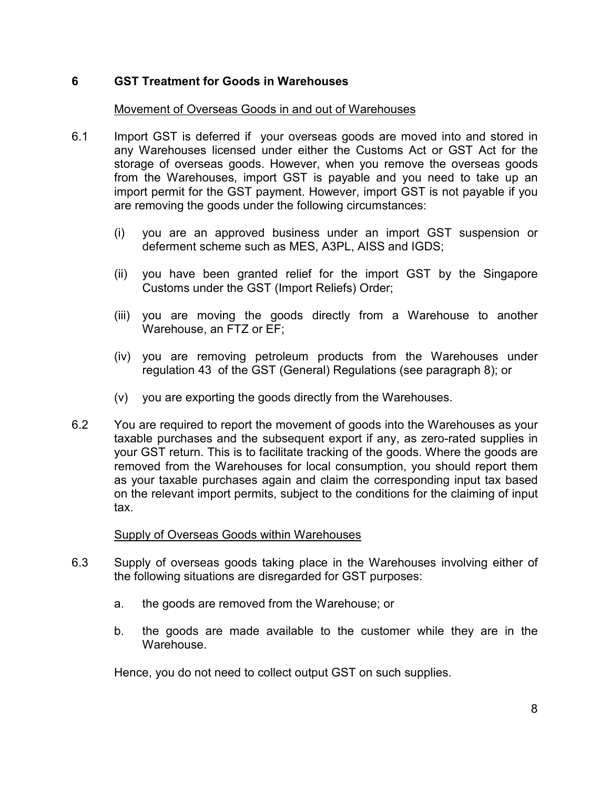#### **6 GST Treatment for Goods in Warehouses**

#### Movement of Overseas Goods in and out of Warehouses

- 6.1 Import GST is deferred if your overseas goods are moved into and stored in any Warehouses licensed under either the Customs Act or GST Act for the storage of overseas goods. However, when you remove the overseas goods from the Warehouses, import GST is payable and you need to take up an import permit for the GST payment. However, import GST is not payable if you are removing the goods under the following circumstances:
	- (i) you are an approved business under an import GST suspension or deferment scheme such as MES, A3PL, AISS and IGDS;
	- (ii) you have been granted relief for the import GST by the Singapore Customs under the GST (Import Reliefs) Order;
	- (iii) you are moving the goods directly from a Warehouse to another Warehouse, an FTZ or EF;
	- (iv) you are removing petroleum products from the Warehouses under regulation 43 of the GST (General) Regulations (see paragraph 8); or
	- (v) you are exporting the goods directly from the Warehouses.
- 6.2 You are required to report the movement of goods into the Warehouses as your taxable purchases and the subsequent export if any, as zero-rated supplies in your GST return. This is to facilitate tracking of the goods. Where the goods are removed from the Warehouses for local consumption, you should report them as your taxable purchases again and claim the corresponding input tax based on the relevant import permits, subject to the conditions for the claiming of input tax.

#### Supply of Overseas Goods within Warehouses

- 6.3 Supply of overseas goods taking place in the Warehouses involving either of the following situations are disregarded for GST purposes:
	- a. the goods are removed from the Warehouse; or
	- b. the goods are made available to the customer while they are in the Warehouse.

Hence, you do not need to collect output GST on such supplies.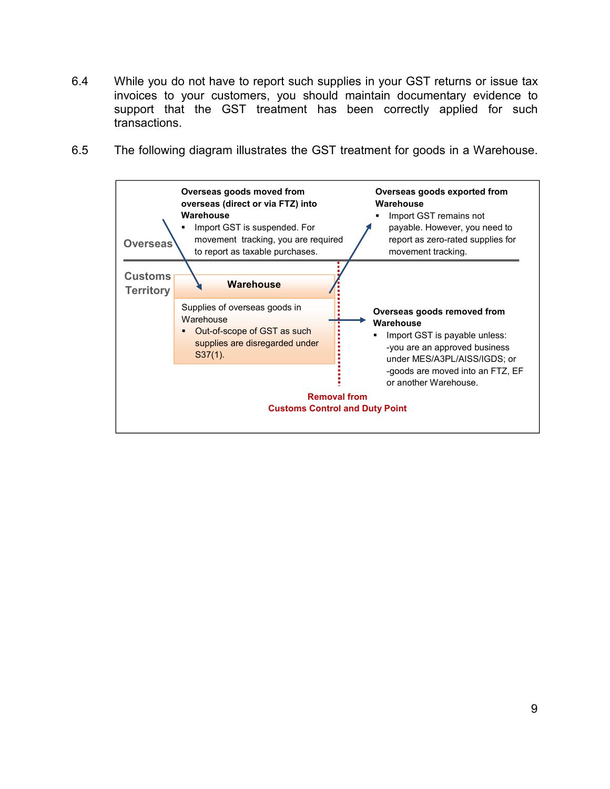- 6.4 While you do not have to report such supplies in your GST returns or issue tax invoices to your customers, you should maintain documentary evidence to support that the GST treatment has been correctly applied for such transactions.
- 6.5 The following diagram illustrates the GST treatment for goods in a Warehouse.

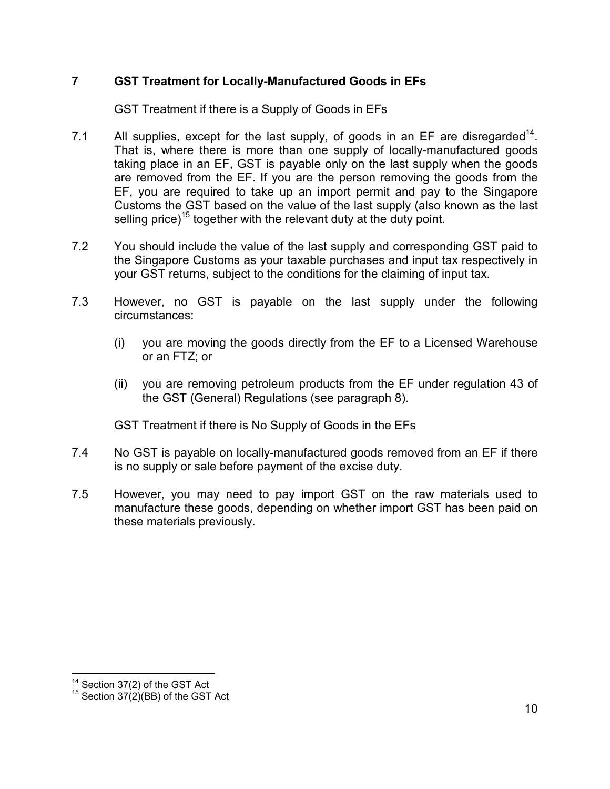### **7 GST Treatment for Locally-Manufactured Goods in EFs**

#### GST Treatment if there is a Supply of Goods in EFs

- 7.1 All supplies, except for the last supply, of goods in an EF are disregarded<sup>14</sup>. That is, where there is more than one supply of locally-manufactured goods taking place in an EF, GST is payable only on the last supply when the goods are removed from the EF. If you are the person removing the goods from the EF, you are required to take up an import permit and pay to the Singapore Customs the GST based on the value of the last supply (also known as the last selling price)<sup>15</sup> together with the relevant duty at the duty point.
- 7.2 You should include the value of the last supply and corresponding GST paid to the Singapore Customs as your taxable purchases and input tax respectively in your GST returns, subject to the conditions for the claiming of input tax.
- 7.3 However, no GST is payable on the last supply under the following circumstances:
	- (i) you are moving the goods directly from the EF to a Licensed Warehouse or an FTZ; or
	- (ii) you are removing petroleum products from the EF under regulation 43 of the GST (General) Regulations (see paragraph 8).

#### GST Treatment if there is No Supply of Goods in the EFs

- 7.4 No GST is payable on locally-manufactured goods removed from an EF if there is no supply or sale before payment of the excise duty.
- 7.5 However, you may need to pay import GST on the raw materials used to manufacture these goods, depending on whether import GST has been paid on these materials previously.

<sup>&</sup>lt;sup>14</sup> Section 37(2) of the GST Act

 $15$  Section 37(2)(BB) of the GST Act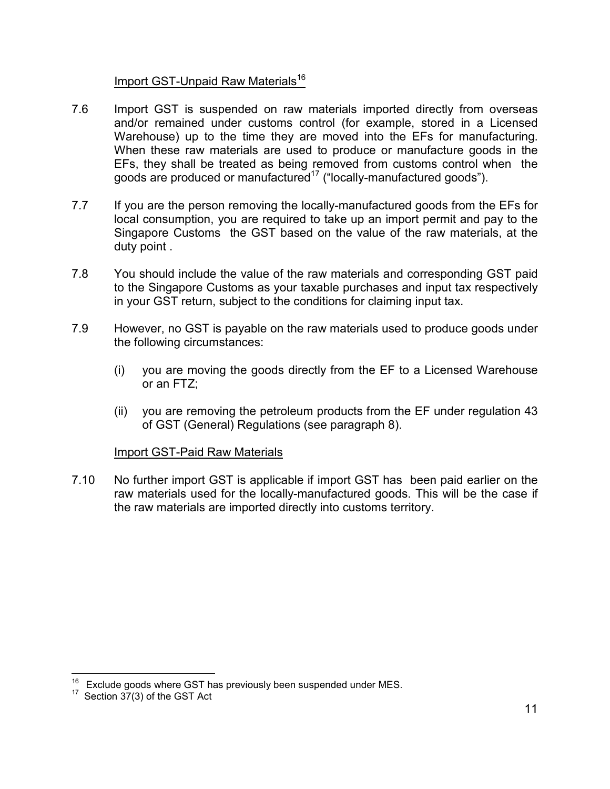#### Import GST-Unpaid Raw Materials<sup>16</sup>

- 7.6 Import GST is suspended on raw materials imported directly from overseas and/or remained under customs control (for example, stored in a Licensed Warehouse) up to the time they are moved into the EFs for manufacturing. When these raw materials are used to produce or manufacture goods in the EFs, they shall be treated as being removed from customs control when the goods are produced or manufactured<sup>17</sup> ("locally-manufactured goods").
- 7.7 If you are the person removing the locally-manufactured goods from the EFs for local consumption, you are required to take up an import permit and pay to the Singapore Customs the GST based on the value of the raw materials, at the duty point .
- 7.8 You should include the value of the raw materials and corresponding GST paid to the Singapore Customs as your taxable purchases and input tax respectively in your GST return, subject to the conditions for claiming input tax.
- 7.9 However, no GST is payable on the raw materials used to produce goods under the following circumstances:
	- (i) you are moving the goods directly from the EF to a Licensed Warehouse or an FTZ;
	- (ii) you are removing the petroleum products from the EF under regulation 43 of GST (General) Regulations (see paragraph 8).

#### Import GST-Paid Raw Materials

7.10 No further import GST is applicable if import GST has been paid earlier on the raw materials used for the locally-manufactured goods. This will be the case if the raw materials are imported directly into customs territory.

 $16$  Exclude goods where GST has previously been suspended under MES.

 $17$  Section  $37(3)$  of the GST Act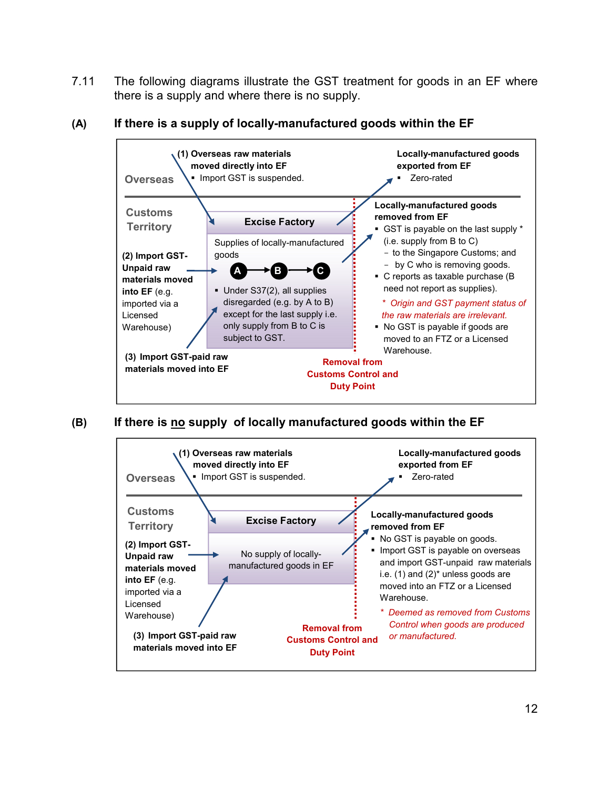7.11 The following diagrams illustrate the GST treatment for goods in an EF where there is a supply and where there is no supply.



#### **(A) If there is a supply of locally-manufactured goods within the EF**

**(B) If there is no supply of locally manufactured goods within the EF**

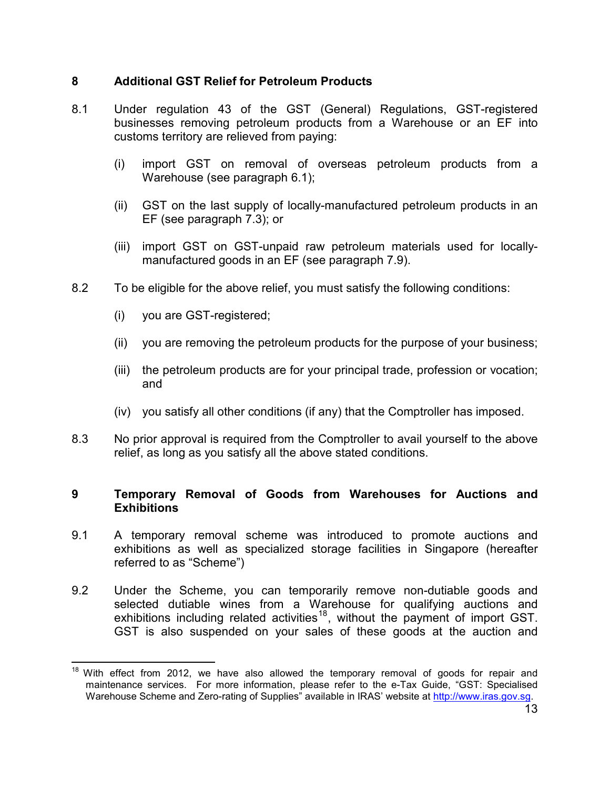#### **8 Additional GST Relief for Petroleum Products**

- 8.1 Under regulation 43 of the GST (General) Regulations, GST-registered businesses removing petroleum products from a Warehouse or an EF into customs territory are relieved from paying:
	- (i) import GST on removal of overseas petroleum products from a Warehouse (see paragraph 6.1);
	- (ii) GST on the last supply of locally-manufactured petroleum products in an EF (see paragraph 7.3); or
	- (iii) import GST on GST-unpaid raw petroleum materials used for locallymanufactured goods in an EF (see paragraph 7.9).
- 8.2 To be eligible for the above relief, you must satisfy the following conditions:
	- (i) you are GST-registered;

 $\overline{a}$ 

- (ii) you are removing the petroleum products for the purpose of your business;
- (iii) the petroleum products are for your principal trade, profession or vocation; and
- (iv) you satisfy all other conditions (if any) that the Comptroller has imposed.
- 8.3 No prior approval is required from the Comptroller to avail yourself to the above relief, as long as you satisfy all the above stated conditions.

#### **9 Temporary Removal of Goods from Warehouses for Auctions and Exhibitions**

- 9.1 A temporary removal scheme was introduced to promote auctions and exhibitions as well as specialized storage facilities in Singapore (hereafter referred to as "Scheme")
- 9.2 Under the Scheme, you can temporarily remove non-dutiable goods and selected dutiable wines from a Warehouse for qualifying auctions and exhibitions including related activities<sup>18</sup>, without the payment of import GST. GST is also suspended on your sales of these goods at the auction and

 $18$  With effect from 2012, we have also allowed the temporary removal of goods for repair and maintenance services. For more information, please refer to the e-Tax Guide, "GST: Specialised Warehouse Scheme and Zero-rating of Supplies" available in IRAS' website at http://www.iras.gov.sg.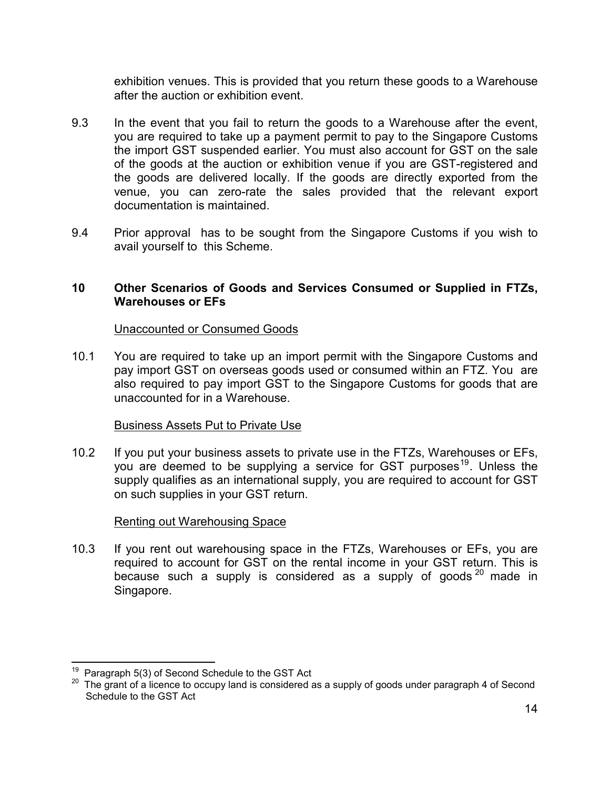exhibition venues. This is provided that you return these goods to a Warehouse after the auction or exhibition event.

- 9.3 In the event that you fail to return the goods to a Warehouse after the event, you are required to take up a payment permit to pay to the Singapore Customs the import GST suspended earlier. You must also account for GST on the sale of the goods at the auction or exhibition venue if you are GST-registered and the goods are delivered locally. If the goods are directly exported from the venue, you can zero-rate the sales provided that the relevant export documentation is maintained.
- 9.4 Prior approval has to be sought from the Singapore Customs if you wish to avail yourself to this Scheme.

#### **10 Other Scenarios of Goods and Services Consumed or Supplied in FTZs, Warehouses or EFs**

#### Unaccounted or Consumed Goods

10.1 You are required to take up an import permit with the Singapore Customs and pay import GST on overseas goods used or consumed within an FTZ. You are also required to pay import GST to the Singapore Customs for goods that are unaccounted for in a Warehouse.

#### Business Assets Put to Private Use

10.2 If you put your business assets to private use in the FTZs, Warehouses or EFs, you are deemed to be supplying a service for GST purposes<sup>19</sup>. Unless the supply qualifies as an international supply, you are required to account for GST on such supplies in your GST return.

#### Renting out Warehousing Space

10.3 If you rent out warehousing space in the FTZs, Warehouses or EFs, you are required to account for GST on the rental income in your GST return. This is because such a supply is considered as a supply of goods  $20$  made in Singapore.

Paragraph 5(3) of Second Schedule to the GST Act

<sup>&</sup>lt;sup>20</sup> The grant of a licence to occupy land is considered as a supply of goods under paragraph 4 of Second Schedule to the GST Act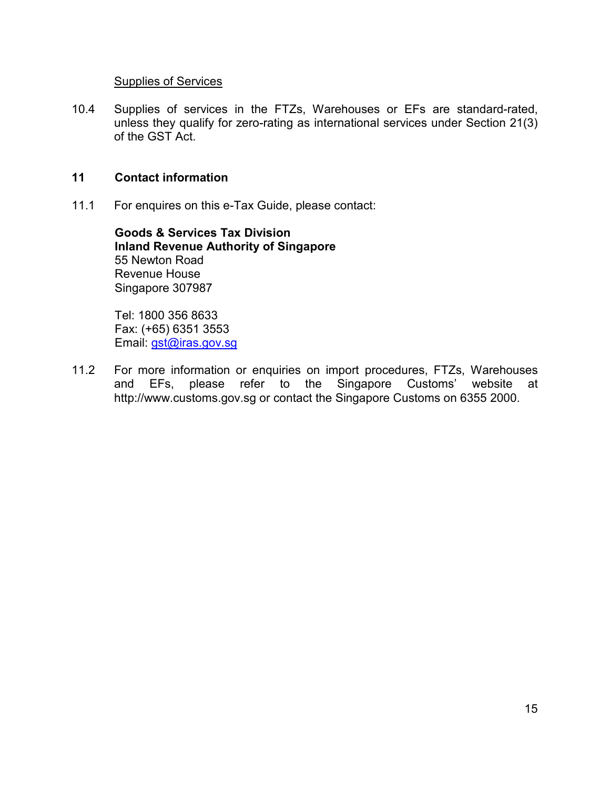#### Supplies of Services

10.4 Supplies of services in the FTZs, Warehouses or EFs are standard-rated, unless they qualify for zero-rating as international services under Section 21(3) of the GST Act.

#### **11 Contact information**

11.1 For enquires on this e-Tax Guide, please contact:

**Goods & Services Tax Division Inland Revenue Authority of Singapore**  55 Newton Road Revenue House Singapore 307987

Tel: 1800 356 8633 Fax: (+65) 6351 3553 Email: gst@iras.gov.sg

11.2 For more information or enquiries on import procedures, FTZs, Warehouses and EFs, please refer to the Singapore Customs' website at http://www.customs.gov.sg or contact the Singapore Customs on 6355 2000.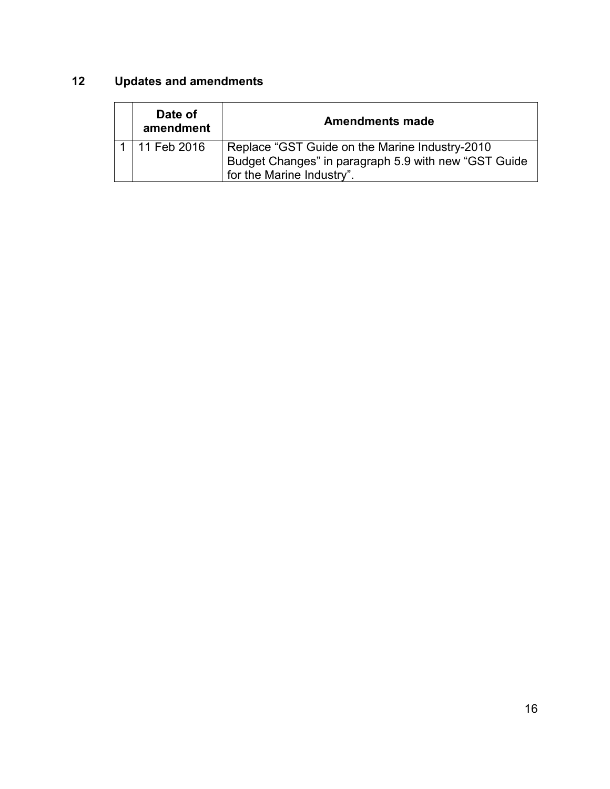## **12 Updates and amendments**

| Date of<br>amendment | <b>Amendments made</b>                                                                                                              |
|----------------------|-------------------------------------------------------------------------------------------------------------------------------------|
| 11 Feb 2016          | Replace "GST Guide on the Marine Industry-2010<br>Budget Changes" in paragraph 5.9 with new "GST Guide<br>for the Marine Industry". |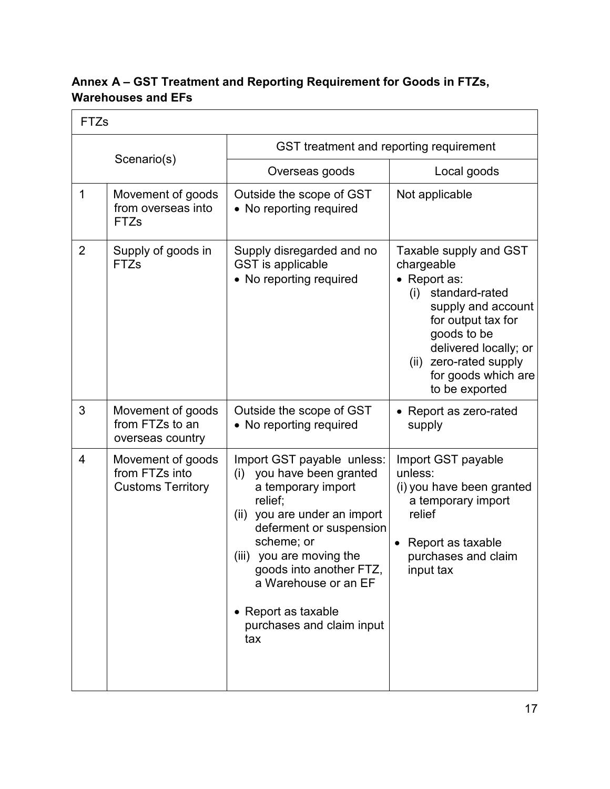## **Annex A – GST Treatment and Reporting Requirement for Goods in FTZs, Warehouses and EFs**

| <b>FTZs</b>    |                                                                 |                                                                                                                                                                                                                                                                                                                |                                                                                                                                                                                                                                      |  |
|----------------|-----------------------------------------------------------------|----------------------------------------------------------------------------------------------------------------------------------------------------------------------------------------------------------------------------------------------------------------------------------------------------------------|--------------------------------------------------------------------------------------------------------------------------------------------------------------------------------------------------------------------------------------|--|
|                |                                                                 | GST treatment and reporting requirement                                                                                                                                                                                                                                                                        |                                                                                                                                                                                                                                      |  |
| Scenario(s)    |                                                                 | Overseas goods                                                                                                                                                                                                                                                                                                 | Local goods                                                                                                                                                                                                                          |  |
| $\mathbf 1$    | Movement of goods<br>from overseas into<br><b>FTZs</b>          | Outside the scope of GST<br>• No reporting required                                                                                                                                                                                                                                                            | Not applicable                                                                                                                                                                                                                       |  |
| $\overline{2}$ | Supply of goods in<br>FTZs                                      | Supply disregarded and no<br>GST is applicable<br>• No reporting required                                                                                                                                                                                                                                      | Taxable supply and GST<br>chargeable<br>• Report as:<br>(i) standard-rated<br>supply and account<br>for output tax for<br>goods to be<br>delivered locally; or<br>zero-rated supply<br>(ii)<br>for goods which are<br>to be exported |  |
| 3              | Movement of goods<br>from FTZs to an<br>overseas country        | Outside the scope of GST<br>• No reporting required                                                                                                                                                                                                                                                            | • Report as zero-rated<br>supply                                                                                                                                                                                                     |  |
| $\overline{4}$ | Movement of goods<br>from FTZs into<br><b>Customs Territory</b> | Import GST payable unless:<br>you have been granted<br>(i)<br>a temporary import<br>relief;<br>(ii) you are under an import<br>deferment or suspension<br>scheme; or<br>(iii) you are moving the<br>goods into another FTZ,<br>a Warehouse or an EF<br>• Report as taxable<br>purchases and claim input<br>tax | Import GST payable<br>unless:<br>(i) you have been granted<br>a temporary import<br>relief<br>Report as taxable<br>purchases and claim<br>input tax                                                                                  |  |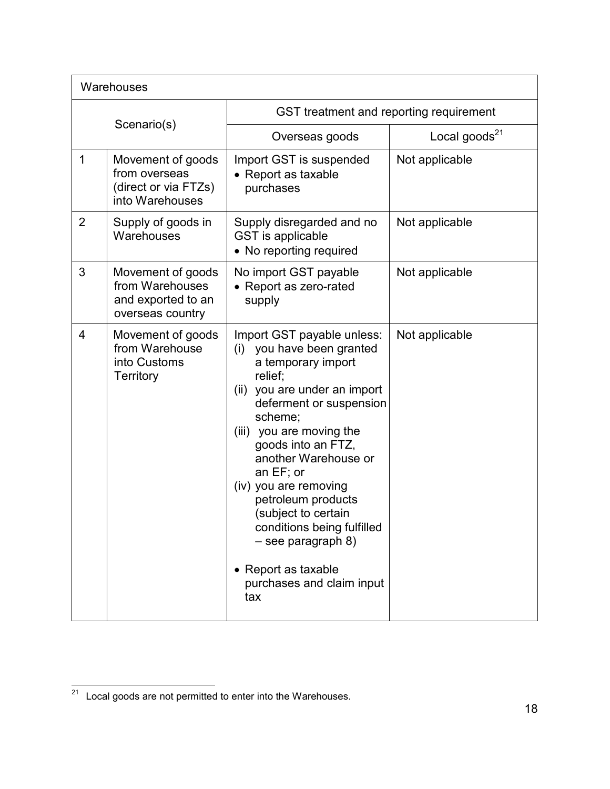| Warehouses     |                                                                                |                                                                                                                                                                                                                                                                                                                                                                                                                                                    |                           |  |
|----------------|--------------------------------------------------------------------------------|----------------------------------------------------------------------------------------------------------------------------------------------------------------------------------------------------------------------------------------------------------------------------------------------------------------------------------------------------------------------------------------------------------------------------------------------------|---------------------------|--|
| Scenario(s)    |                                                                                | GST treatment and reporting requirement                                                                                                                                                                                                                                                                                                                                                                                                            |                           |  |
|                |                                                                                | Overseas goods                                                                                                                                                                                                                                                                                                                                                                                                                                     | Local goods <sup>21</sup> |  |
| 1              | Movement of goods<br>from overseas<br>(direct or via FTZs)<br>into Warehouses  | Import GST is suspended<br>• Report as taxable<br>purchases                                                                                                                                                                                                                                                                                                                                                                                        | Not applicable            |  |
| $\overline{2}$ | Supply of goods in<br>Warehouses                                               | Supply disregarded and no<br>GST is applicable<br>• No reporting required                                                                                                                                                                                                                                                                                                                                                                          | Not applicable            |  |
| 3              | Movement of goods<br>from Warehouses<br>and exported to an<br>overseas country | No import GST payable<br>• Report as zero-rated<br>supply                                                                                                                                                                                                                                                                                                                                                                                          | Not applicable            |  |
| $\overline{4}$ | Movement of goods<br>from Warehouse<br>into Customs<br>Territory               | Import GST payable unless:<br>you have been granted<br>(i)<br>a temporary import<br>relief;<br>you are under an import<br>(ii)<br>deferment or suspension<br>scheme;<br>(iii) you are moving the<br>goods into an FTZ,<br>another Warehouse or<br>an EF; or<br>(iv) you are removing<br>petroleum products<br>(subject to certain<br>conditions being fulfilled<br>$-$ see paragraph 8)<br>• Report as taxable<br>purchases and claim input<br>tax | Not applicable            |  |

 $21$  Local goods are not permitted to enter into the Warehouses.